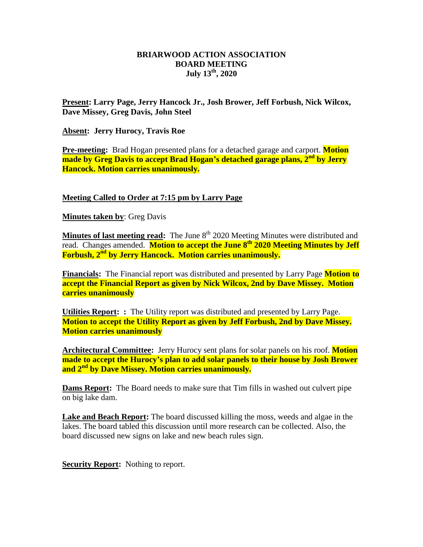## **BRIARWOOD ACTION ASSOCIATION BOARD MEETING July 13th, 2020**

**Present: Larry Page, Jerry Hancock Jr., Josh Brower, Jeff Forbush, Nick Wilcox, Dave Missey, Greg Davis, John Steel**

**Absent: Jerry Hurocy, Travis Roe**

**Pre-meeting:** Brad Hogan presented plans for a detached garage and carport. **Motion made by Greg Davis to accept Brad Hogan's detached garage plans, 2nd by Jerry Hancock. Motion carries unanimously.**

**Meeting Called to Order at 7:15 pm by Larry Page**

**Minutes taken by**: Greg Davis

**Minutes of last meeting read:** The June 8<sup>th</sup> 2020 Meeting Minutes were distributed and read. Changes amended. **Motion to accept the June 8th 2020 Meeting Minutes by Jeff Forbush, 2nd by Jerry Hancock. Motion carries unanimously.**

**Financials:** The Financial report was distributed and presented by Larry Page **Motion to accept the Financial Report as given by Nick Wilcox, 2nd by Dave Missey. Motion carries unanimously** 

**Utilities Report: :** The Utility report was distributed and presented by Larry Page. **Motion to accept the Utility Report as given by Jeff Forbush, 2nd by Dave Missey. Motion carries unanimously** 

**Architectural Committee:** Jerry Hurocy sent plans for solar panels on his roof. **Motion made to accept the Hurocy's plan to add solar panels to their house by Josh Brower and 2nd by Dave Missey. Motion carries unanimously.**

**Dams Report:** The Board needs to make sure that Tim fills in washed out culvert pipe on big lake dam.

**Lake and Beach Report:** The board discussed killing the moss, weeds and algae in the lakes. The board tabled this discussion until more research can be collected. Also, the board discussed new signs on lake and new beach rules sign.

**Security Report:** Nothing to report.